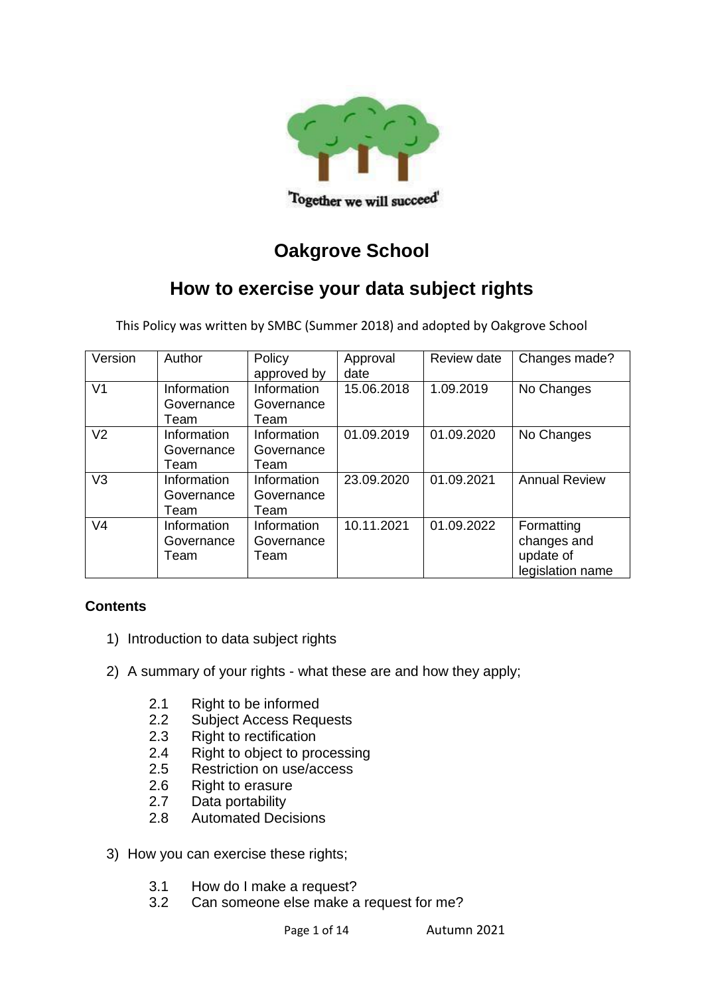

# **Oakgrove School**

# **How to exercise your data subject rights**

This Policy was written by SMBC (Summer 2018) and adopted by Oakgrove School

| Version        | Author                            | Policy<br>approved by             | Approval<br>date | Review date | Changes made?                                              |
|----------------|-----------------------------------|-----------------------------------|------------------|-------------|------------------------------------------------------------|
| V <sub>1</sub> | Information<br>Governance<br>Team | Information<br>Governance<br>Team | 15.06.2018       | 1.09.2019   | No Changes                                                 |
| V <sub>2</sub> | Information<br>Governance<br>Team | Information<br>Governance<br>Team | 01.09.2019       | 01.09.2020  | No Changes                                                 |
| V <sub>3</sub> | Information<br>Governance<br>Team | Information<br>Governance<br>Team | 23.09.2020       | 01.09.2021  | <b>Annual Review</b>                                       |
| V <sub>4</sub> | Information<br>Governance<br>Team | Information<br>Governance<br>Team | 10.11.2021       | 01.09.2022  | Formatting<br>changes and<br>update of<br>legislation name |

# **Contents**

- 1) Introduction to data subject rights
- 2) A summary of your rights what these are and how they apply;
	- 2.1 Right to be informed
	- 2.2 Subject Access Requests
	- 2.3 Right to rectification
	- 2.4 Right to object to processing
	- 2.5 Restriction on use/access
	- 2.6 Right to erasure
	- 2.7 Data portability
	- 2.8 Automated Decisions
- 3) How you can exercise these rights;
	- 3.1 How do I make a request?
	- 3.2 Can someone else make a request for me?

Page 1 of 14 Autumn 2021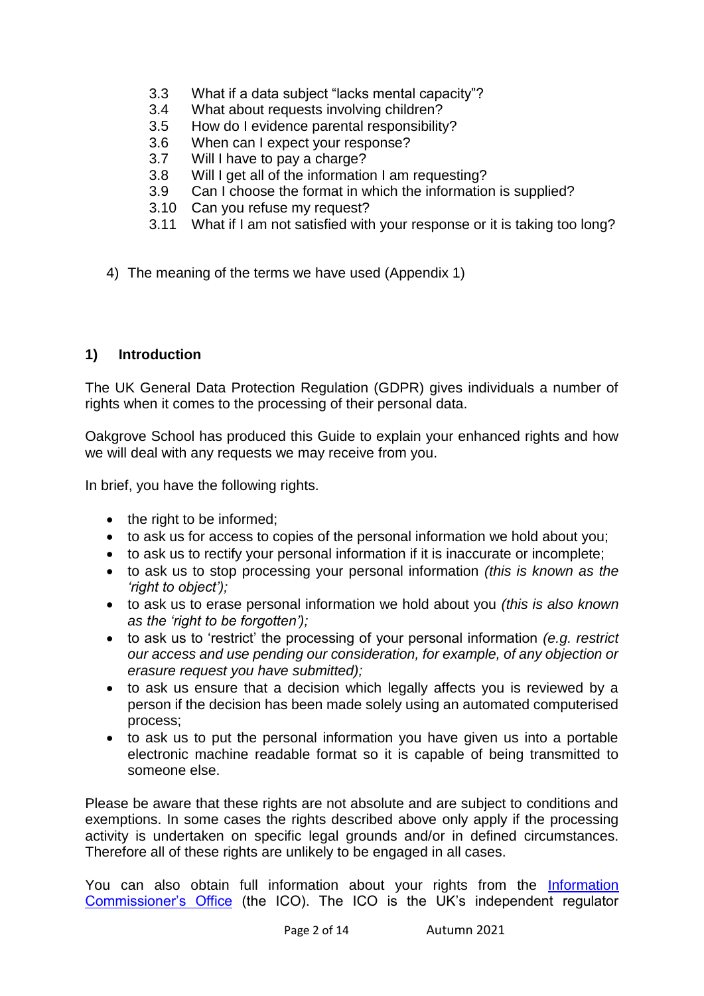- 3.3 What if a data subject "lacks mental capacity"?
- 3.4 What about requests involving children?
- 3.5 How do I evidence parental responsibility?
- 3.6 When can I expect your response?
- 3.7 Will I have to pay a charge?
- 3.8 Will I get all of the information I am requesting?
- 3.9 Can I choose the format in which the information is supplied?
- 3.10 Can you refuse my request?
- 3.11 What if I am not satisfied with your response or it is taking too long?
- 4) The meaning of the terms we have used (Appendix 1)

## **1) Introduction**

The UK General Data Protection Regulation (GDPR) gives individuals a number of rights when it comes to the processing of their personal data.

Oakgrove School has produced this Guide to explain your enhanced rights and how we will deal with any requests we may receive from you.

In brief, you have the following rights.

- the right to be informed;
- to ask us for access to copies of the personal information we hold about you;
- to ask us to rectify your personal information if it is inaccurate or incomplete;
- to ask us to stop processing your personal information *(this is known as the 'right to object');*
- to ask us to erase personal information we hold about you *(this is also known as the 'right to be forgotten');*
- to ask us to 'restrict' the processing of your personal information *(e.g. restrict our access and use pending our consideration, for example, of any objection or erasure request you have submitted);*
- to ask us ensure that a decision which legally affects you is reviewed by a person if the decision has been made solely using an automated computerised process;
- to ask us to put the personal information you have given us into a portable electronic machine readable format so it is capable of being transmitted to someone else.

Please be aware that these rights are not absolute and are subject to conditions and exemptions. In some cases the rights described above only apply if the processing activity is undertaken on specific legal grounds and/or in defined circumstances. Therefore all of these rights are unlikely to be engaged in all cases.

You can also obtain full information about your rights from the Information [Commissioner's Office](https://ico.org.uk/) (the ICO). The ICO is the UK's independent regulator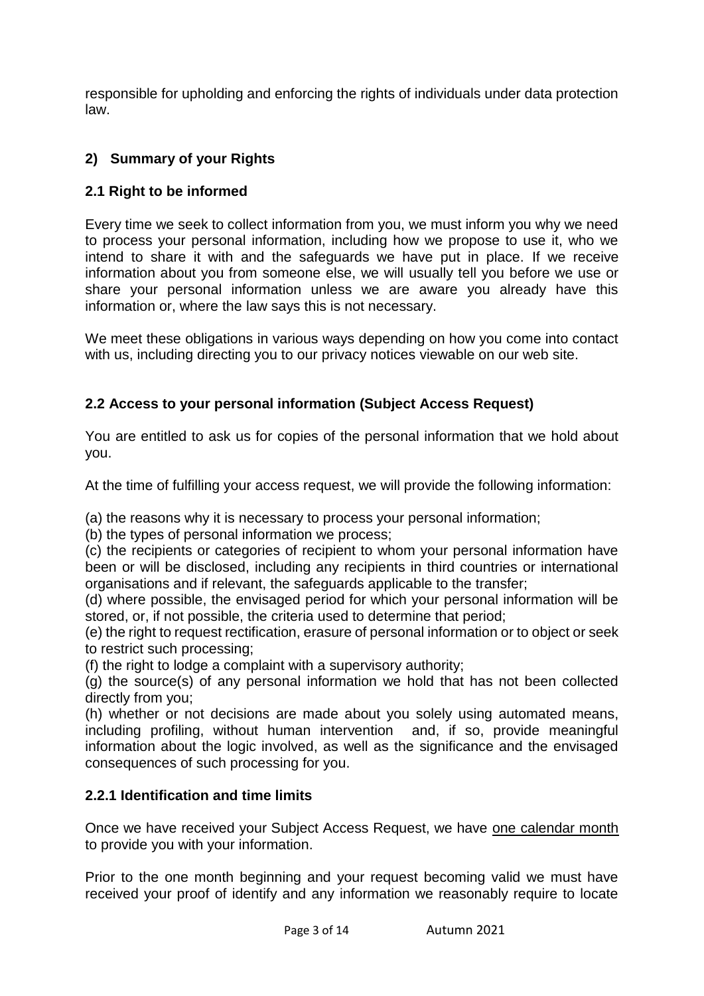responsible for upholding and enforcing the rights of individuals under data protection law.

# **2) Summary of your Rights**

# **2.1 Right to be informed**

Every time we seek to collect information from you, we must inform you why we need to process your personal information, including how we propose to use it, who we intend to share it with and the safeguards we have put in place. If we receive information about you from someone else, we will usually tell you before we use or share your personal information unless we are aware you already have this information or, where the law says this is not necessary.

We meet these obligations in various ways depending on how you come into contact with us, including directing you to our privacy notices viewable on our web site.

# **2.2 Access to your personal information (Subject Access Request)**

You are entitled to ask us for copies of the personal information that we hold about you.

At the time of fulfilling your access request, we will provide the following information:

(a) the reasons why it is necessary to process your personal information;

(b) the types of personal information we process;

(c) the recipients or categories of recipient to whom your personal information have been or will be disclosed, including any recipients in third countries or international organisations and if relevant, the safeguards applicable to the transfer;

(d) where possible, the envisaged period for which your personal information will be stored, or, if not possible, the criteria used to determine that period;

(e) the right to request rectification, erasure of personal information or to object or seek to restrict such processing;

(f) the right to lodge a complaint with a supervisory authority;

(g) the source(s) of any personal information we hold that has not been collected directly from you;

(h) whether or not decisions are made about you solely using automated means, including profiling, without human intervention and, if so, provide meaningful information about the logic involved, as well as the significance and the envisaged consequences of such processing for you.

# **2.2.1 Identification and time limits**

Once we have received your Subject Access Request, we have one calendar month to provide you with your information.

Prior to the one month beginning and your request becoming valid we must have received your proof of identify and any information we reasonably require to locate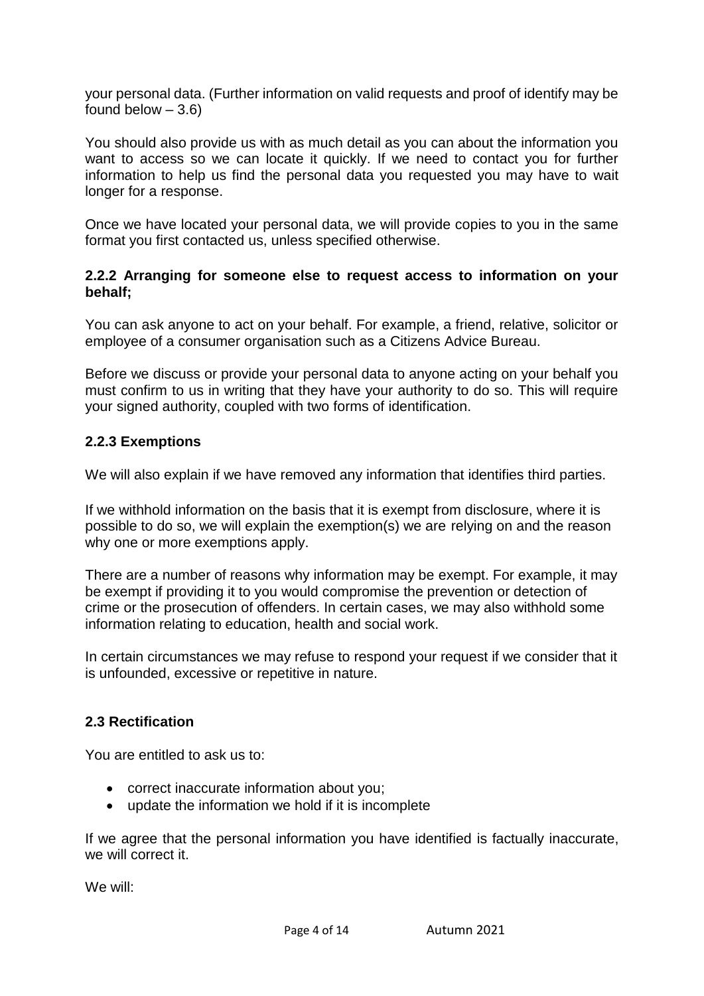your personal data. (Further information on valid requests and proof of identify may be found below  $-3.6$ )

You should also provide us with as much detail as you can about the information you want to access so we can locate it quickly. If we need to contact you for further information to help us find the personal data you requested you may have to wait longer for a response.

Once we have located your personal data, we will provide copies to you in the same format you first contacted us, unless specified otherwise.

#### **2.2.2 Arranging for someone else to request access to information on your behalf;**

You can ask anyone to act on your behalf. For example, a friend, relative, solicitor or employee of a consumer organisation such as a Citizens Advice Bureau.

Before we discuss or provide your personal data to anyone acting on your behalf you must confirm to us in writing that they have your authority to do so. This will require your signed authority, coupled with two forms of identification.

## **2.2.3 Exemptions**

We will also explain if we have removed any information that identifies third parties.

If we withhold information on the basis that it is exempt from disclosure, where it is possible to do so, we will explain the exemption(s) we are relying on and the reason why one or more exemptions apply.

There are a number of reasons why information may be exempt. For example, it may be exempt if providing it to you would compromise the prevention or detection of crime or the prosecution of offenders. In certain cases, we may also withhold some information relating to education, health and social work.

In certain circumstances we may refuse to respond your request if we consider that it is unfounded, excessive or repetitive in nature.

## **2.3 Rectification**

You are entitled to ask us to:

- correct inaccurate information about you;
- update the information we hold if it is incomplete

If we agree that the personal information you have identified is factually inaccurate, we will correct it.

We will: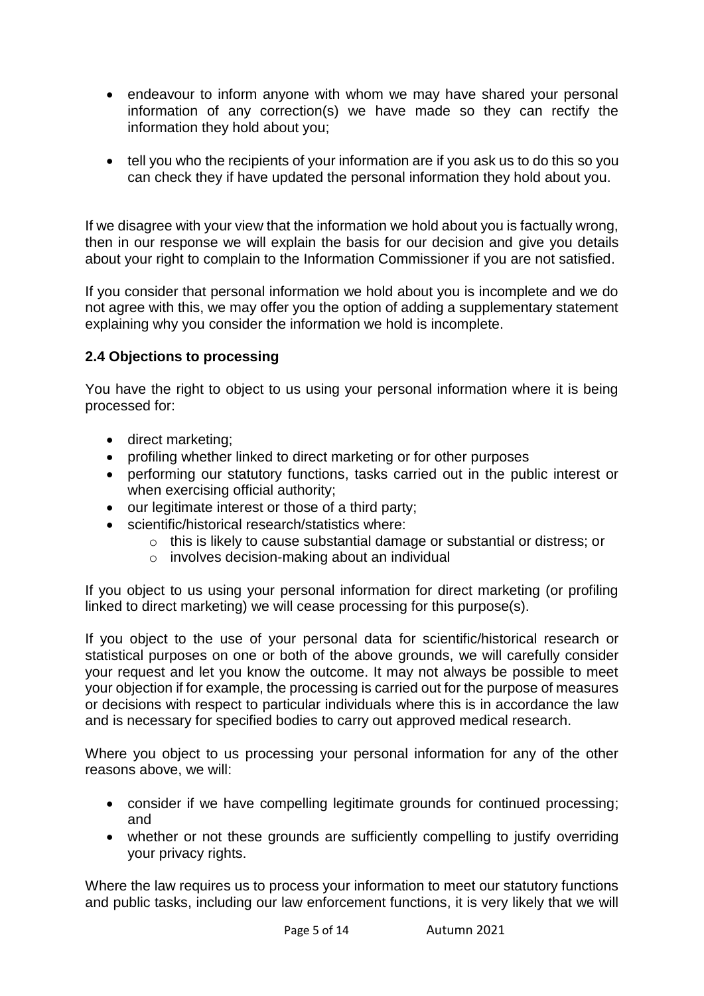- endeavour to inform anyone with whom we may have shared your personal information of any correction(s) we have made so they can rectify the information they hold about you;
- tell you who the recipients of your information are if you ask us to do this so you can check they if have updated the personal information they hold about you.

If we disagree with your view that the information we hold about you is factually wrong, then in our response we will explain the basis for our decision and give you details about your right to complain to the Information Commissioner if you are not satisfied.

If you consider that personal information we hold about you is incomplete and we do not agree with this, we may offer you the option of adding a supplementary statement explaining why you consider the information we hold is incomplete.

# **2.4 Objections to processing**

You have the right to object to us using your personal information where it is being processed for:

- direct marketing;
- profiling whether linked to direct marketing or for other purposes
- performing our statutory functions, tasks carried out in the public interest or when exercising official authority;
- our legitimate interest or those of a third party;
- scientific/historical research/statistics where:
	- o this is likely to cause substantial damage or substantial or distress; or
	- o involves decision-making about an individual

If you object to us using your personal information for direct marketing (or profiling linked to direct marketing) we will cease processing for this purpose(s).

If you object to the use of your personal data for scientific/historical research or statistical purposes on one or both of the above grounds, we will carefully consider your request and let you know the outcome. It may not always be possible to meet your objection if for example, the processing is carried out for the purpose of measures or decisions with respect to particular individuals where this is in accordance the law and is necessary for specified bodies to carry out approved medical research.

Where you object to us processing your personal information for any of the other reasons above, we will:

- consider if we have compelling legitimate grounds for continued processing; and
- whether or not these grounds are sufficiently compelling to justify overriding your privacy rights.

Where the law requires us to process your information to meet our statutory functions and public tasks, including our law enforcement functions, it is very likely that we will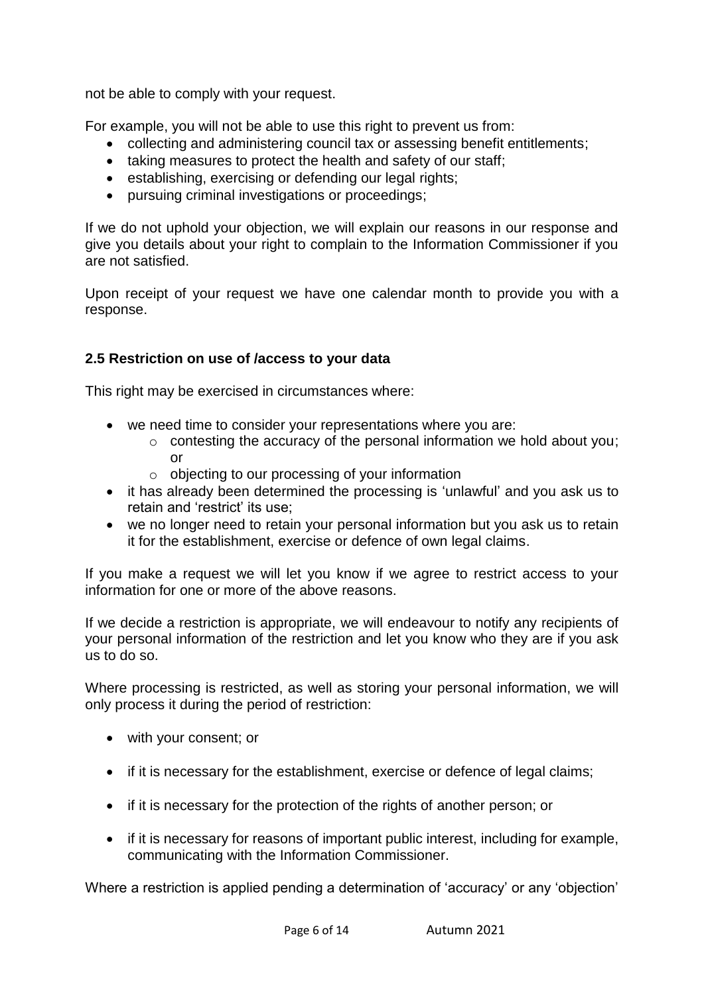not be able to comply with your request.

For example, you will not be able to use this right to prevent us from:

- collecting and administering council tax or assessing benefit entitlements;
- taking measures to protect the health and safety of our staff;
- establishing, exercising or defending our legal rights:
- pursuing criminal investigations or proceedings;

If we do not uphold your objection, we will explain our reasons in our response and give you details about your right to complain to the Information Commissioner if you are not satisfied.

Upon receipt of your request we have one calendar month to provide you with a response.

# **2.5 Restriction on use of /access to your data**

This right may be exercised in circumstances where:

- we need time to consider your representations where you are:
	- o contesting the accuracy of the personal information we hold about you; or
	- o objecting to our processing of your information
- it has already been determined the processing is 'unlawful' and you ask us to retain and 'restrict' its use;
- we no longer need to retain your personal information but you ask us to retain it for the establishment, exercise or defence of own legal claims.

If you make a request we will let you know if we agree to restrict access to your information for one or more of the above reasons.

If we decide a restriction is appropriate, we will endeavour to notify any recipients of your personal information of the restriction and let you know who they are if you ask us to do so.

Where processing is restricted, as well as storing your personal information, we will only process it during the period of restriction:

- with your consent; or
- if it is necessary for the establishment, exercise or defence of legal claims;
- if it is necessary for the protection of the rights of another person; or
- if it is necessary for reasons of important public interest, including for example, communicating with the Information Commissioner.

Where a restriction is applied pending a determination of 'accuracy' or any 'objection'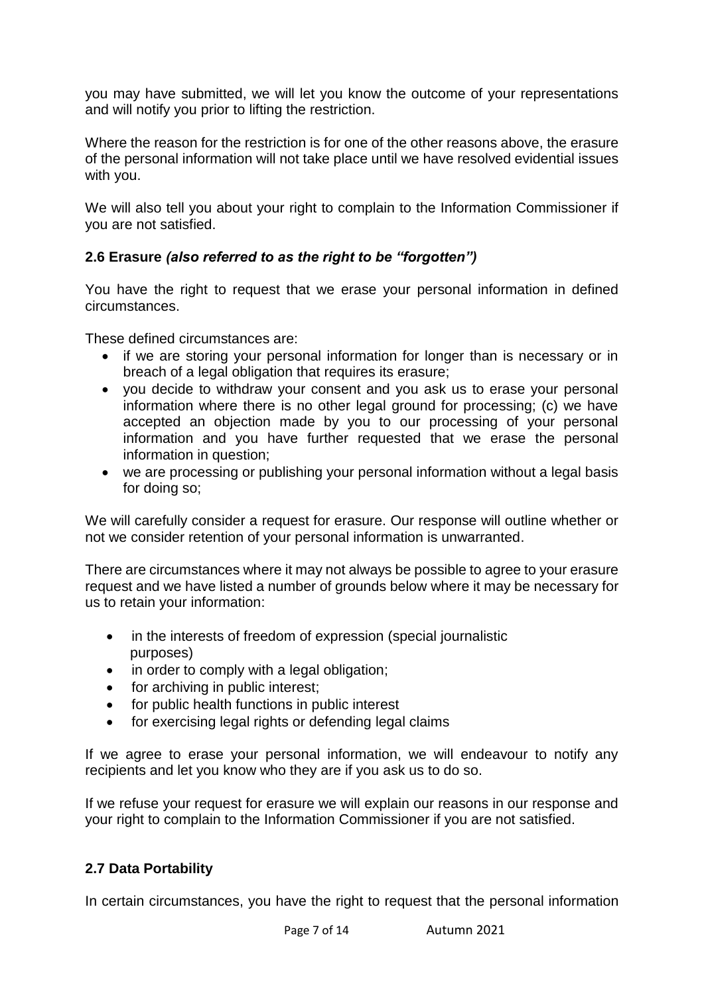you may have submitted, we will let you know the outcome of your representations and will notify you prior to lifting the restriction.

Where the reason for the restriction is for one of the other reasons above, the erasure of the personal information will not take place until we have resolved evidential issues with you.

We will also tell you about your right to complain to the Information Commissioner if you are not satisfied.

# **2.6 Erasure** *(also referred to as the right to be "forgotten")*

You have the right to request that we erase your personal information in defined circumstances.

These defined circumstances are:

- if we are storing your personal information for longer than is necessary or in breach of a legal obligation that requires its erasure;
- you decide to withdraw your consent and you ask us to erase your personal information where there is no other legal ground for processing; (c) we have accepted an objection made by you to our processing of your personal information and you have further requested that we erase the personal information in question;
- we are processing or publishing your personal information without a legal basis for doing so;

We will carefully consider a request for erasure. Our response will outline whether or not we consider retention of your personal information is unwarranted.

There are circumstances where it may not always be possible to agree to your erasure request and we have listed a number of grounds below where it may be necessary for us to retain your information:

- in the interests of freedom of expression (special journalistic purposes)
- in order to comply with a legal obligation;
- for archiving in public interest;
- for public health functions in public interest
- for exercising legal rights or defending legal claims

If we agree to erase your personal information, we will endeavour to notify any recipients and let you know who they are if you ask us to do so.

If we refuse your request for erasure we will explain our reasons in our response and your right to complain to the Information Commissioner if you are not satisfied.

# **2.7 Data Portability**

In certain circumstances, you have the right to request that the personal information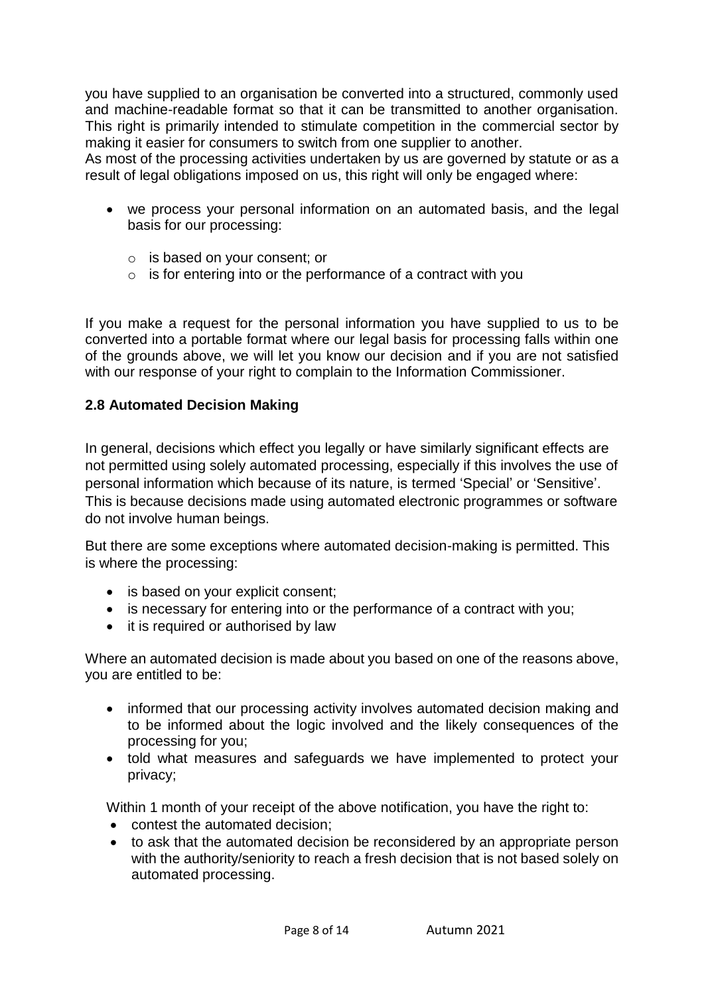you have supplied to an organisation be converted into a structured, commonly used and machine-readable format so that it can be transmitted to another organisation. This right is primarily intended to stimulate competition in the commercial sector by making it easier for consumers to switch from one supplier to another.

As most of the processing activities undertaken by us are governed by statute or as a result of legal obligations imposed on us, this right will only be engaged where:

- we process your personal information on an automated basis, and the legal basis for our processing:
	- o is based on your consent; or
	- o is for entering into or the performance of a contract with you

If you make a request for the personal information you have supplied to us to be converted into a portable format where our legal basis for processing falls within one of the grounds above, we will let you know our decision and if you are not satisfied with our response of your right to complain to the Information Commissioner.

#### **2.8 Automated Decision Making**

In general, decisions which effect you legally or have similarly significant effects are not permitted using solely automated processing, especially if this involves the use of personal information which because of its nature, is termed 'Special' or 'Sensitive'. This is because decisions made using automated electronic programmes or software do not involve human beings.

But there are some exceptions where automated decision-making is permitted. This is where the processing:

- is based on your explicit consent;
- is necessary for entering into or the performance of a contract with you;
- it is required or authorised by law

Where an automated decision is made about you based on one of the reasons above, you are entitled to be:

- informed that our processing activity involves automated decision making and to be informed about the logic involved and the likely consequences of the processing for you;
- told what measures and safeguards we have implemented to protect your privacy;

Within 1 month of your receipt of the above notification, you have the right to:

- contest the automated decision;
- to ask that the automated decision be reconsidered by an appropriate person with the authority/seniority to reach a fresh decision that is not based solely on automated processing.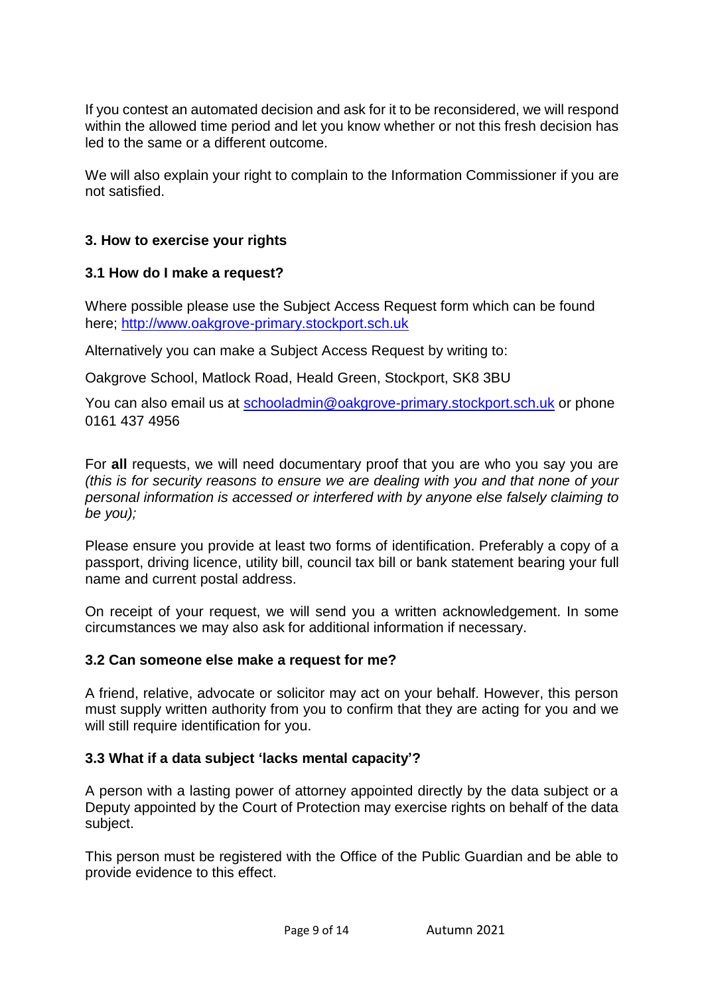If you contest an automated decision and ask for it to be reconsidered, we will respond within the allowed time period and let you know whether or not this fresh decision has led to the same or a different outcome.

We will also explain your right to complain to the Information Commissioner if you are not satisfied.

## **3. How to exercise your rights**

#### **3.1 How do I make a request?**

Where possible please use the Subject Access Request form which can be found here; [http://www.oakgrove-primary.stockport.sch.uk](http://www.oakgrove-primary.stockport.sch.uk/)

Alternatively you can make a Subject Access Request by writing to:

Oakgrove School, Matlock Road, Heald Green, Stockport, SK8 3BU

You can also email us at [schooladmin@oakgrove-primary.stockport.sch.uk](mailto:schooladmin@oakgrove-primary.stockport.sch.uk) or phone 0161 437 4956

For **all** requests, we will need documentary proof that you are who you say you are *(this is for security reasons to ensure we are dealing with you and that none of your personal information is accessed or interfered with by anyone else falsely claiming to be you);*

Please ensure you provide at least two forms of identification. Preferably a copy of a passport, driving licence, utility bill, council tax bill or bank statement bearing your full name and current postal address.

On receipt of your request, we will send you a written acknowledgement. In some circumstances we may also ask for additional information if necessary.

#### **3.2 Can someone else make a request for me?**

A friend, relative, advocate or solicitor may act on your behalf. However, this person must supply written authority from you to confirm that they are acting for you and we will still require identification for you.

#### **3.3 What if a data subject 'lacks mental capacity'?**

A person with a lasting power of attorney appointed directly by the data subject or a Deputy appointed by the Court of Protection may exercise rights on behalf of the data subject.

This person must be registered with the Office of the Public Guardian and be able to provide evidence to this effect.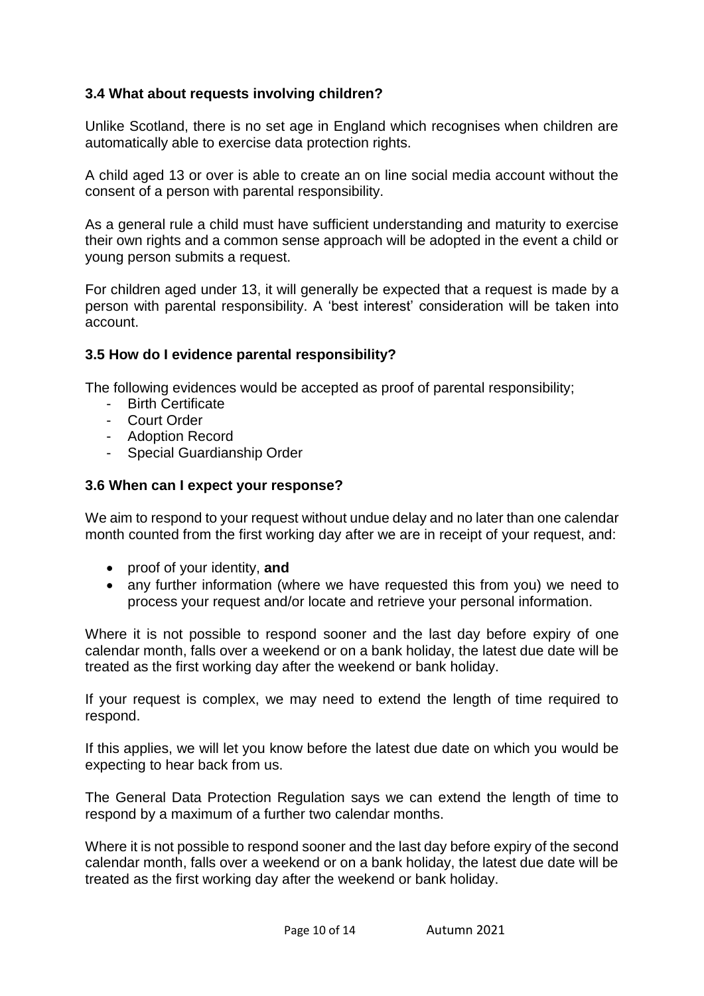# **3.4 What about requests involving children?**

Unlike Scotland, there is no set age in England which recognises when children are automatically able to exercise data protection rights.

A child aged 13 or over is able to create an on line social media account without the consent of a person with parental responsibility.

As a general rule a child must have sufficient understanding and maturity to exercise their own rights and a common sense approach will be adopted in the event a child or young person submits a request.

For children aged under 13, it will generally be expected that a request is made by a person with parental responsibility. A 'best interest' consideration will be taken into account.

## **3.5 How do I evidence parental responsibility?**

The following evidences would be accepted as proof of parental responsibility;

- Birth Certificate
- Court Order
- Adoption Record
- Special Guardianship Order

#### **3.6 When can I expect your response?**

We aim to respond to your request without undue delay and no later than one calendar month counted from the first working day after we are in receipt of your request, and:

- proof of your identity, **and**
- any further information (where we have requested this from you) we need to process your request and/or locate and retrieve your personal information.

Where it is not possible to respond sooner and the last day before expiry of one calendar month, falls over a weekend or on a bank holiday, the latest due date will be treated as the first working day after the weekend or bank holiday.

If your request is complex, we may need to extend the length of time required to respond.

If this applies, we will let you know before the latest due date on which you would be expecting to hear back from us.

The General Data Protection Regulation says we can extend the length of time to respond by a maximum of a further two calendar months.

Where it is not possible to respond sooner and the last day before expiry of the second calendar month, falls over a weekend or on a bank holiday, the latest due date will be treated as the first working day after the weekend or bank holiday.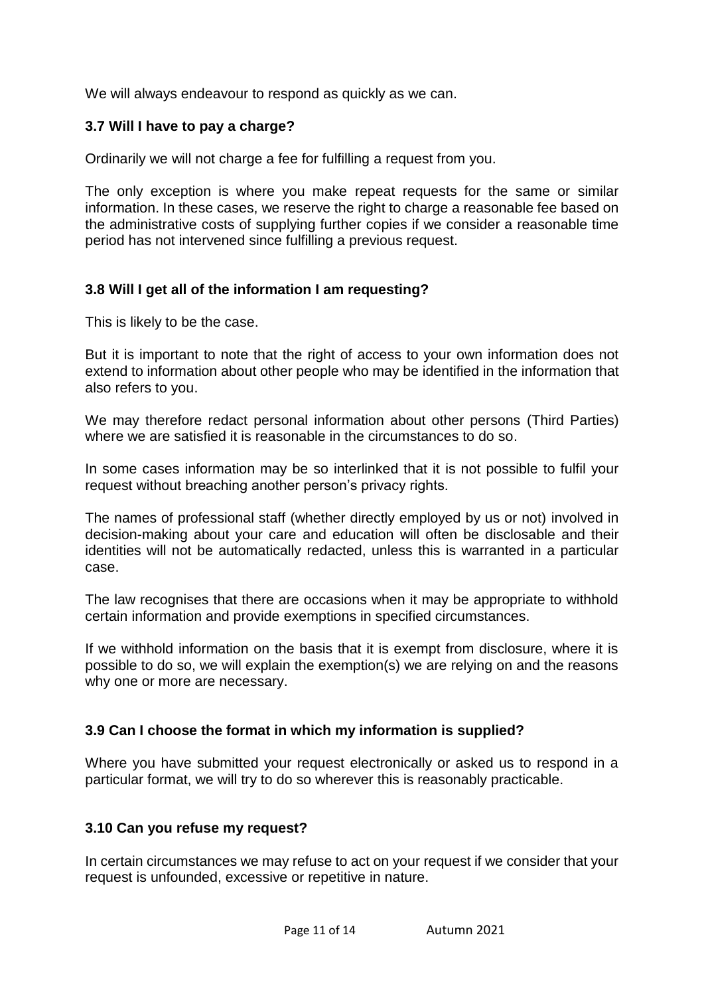We will always endeavour to respond as quickly as we can.

#### **3.7 Will I have to pay a charge?**

Ordinarily we will not charge a fee for fulfilling a request from you.

The only exception is where you make repeat requests for the same or similar information. In these cases, we reserve the right to charge a reasonable fee based on the administrative costs of supplying further copies if we consider a reasonable time period has not intervened since fulfilling a previous request.

#### **3.8 Will I get all of the information I am requesting?**

This is likely to be the case.

But it is important to note that the right of access to your own information does not extend to information about other people who may be identified in the information that also refers to you.

We may therefore redact personal information about other persons (Third Parties) where we are satisfied it is reasonable in the circumstances to do so.

In some cases information may be so interlinked that it is not possible to fulfil your request without breaching another person's privacy rights.

The names of professional staff (whether directly employed by us or not) involved in decision-making about your care and education will often be disclosable and their identities will not be automatically redacted, unless this is warranted in a particular case.

The law recognises that there are occasions when it may be appropriate to withhold certain information and provide exemptions in specified circumstances.

If we withhold information on the basis that it is exempt from disclosure, where it is possible to do so, we will explain the exemption(s) we are relying on and the reasons why one or more are necessary.

#### **3.9 Can I choose the format in which my information is supplied?**

Where you have submitted your request electronically or asked us to respond in a particular format, we will try to do so wherever this is reasonably practicable.

## **3.10 Can you refuse my request?**

In certain circumstances we may refuse to act on your request if we consider that your request is unfounded, excessive or repetitive in nature.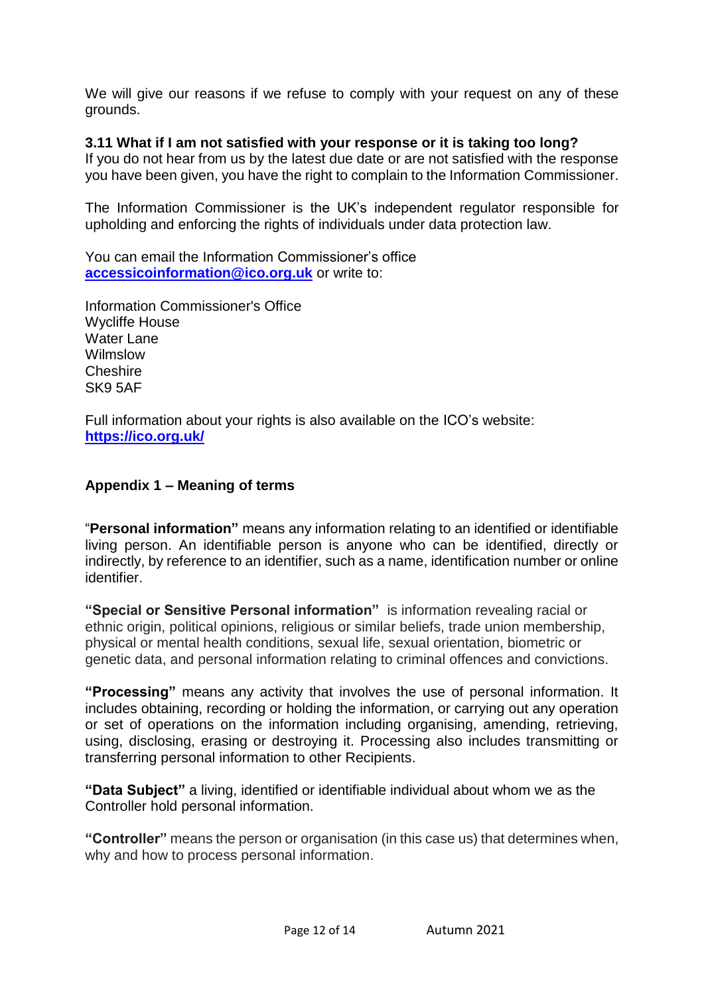We will give our reasons if we refuse to comply with your request on any of these grounds.

## **3.11 What if I am not satisfied with your response or it is taking too long?**

If you do not hear from us by the latest due date or are not satisfied with the response you have been given, you have the right to complain to the Information Commissioner.

The Information Commissioner is the UK's independent regulator responsible for upholding and enforcing the rights of individuals under data protection law.

You can email the Information Commissioner's office **[accessicoinformation@ico.org.uk](mailto:accessicoinformation@ico.org.uk)** or write to:

Information Commissioner's Office Wycliffe House Water Lane Wilmslow Cheshire SK9 5AF

Full information about your rights is also available on the ICO's website: **<https://ico.org.uk/>**

#### **Appendix 1 – Meaning of terms**

"**Personal information"** means any information relating to an identified or identifiable living person. An identifiable person is anyone who can be identified, directly or indirectly, by reference to an identifier, such as a name, identification number or online identifier.

**"Special or Sensitive Personal information"** is information revealing racial or ethnic origin, political opinions, religious or similar beliefs, trade union membership, physical or mental health conditions, sexual life, sexual orientation, biometric or genetic data, and personal information relating to criminal offences and convictions.

**"Processing"** means any activity that involves the use of personal information. It includes obtaining, recording or holding the information, or carrying out any operation or set of operations on the information including organising, amending, retrieving, using, disclosing, erasing or destroying it. Processing also includes transmitting or transferring personal information to other Recipients.

**"Data Subject"** a living, identified or identifiable individual about whom we as the Controller hold personal information.

**"Controller"** means the person or organisation (in this case us) that determines when, why and how to process personal information.